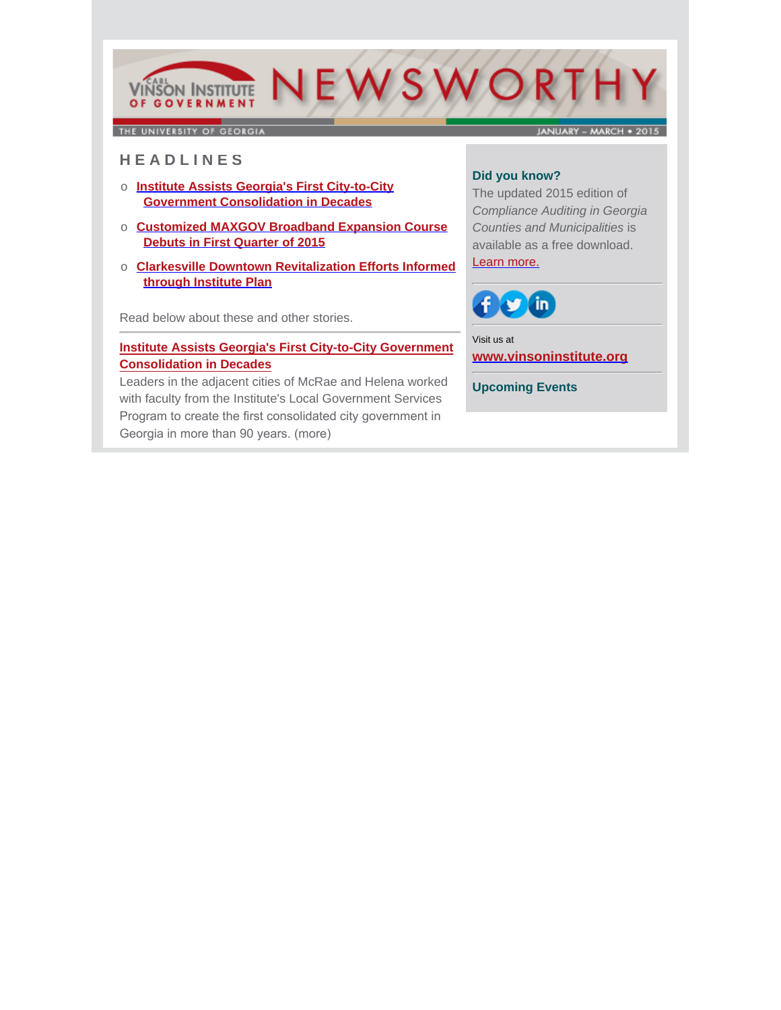

THE UNIVERSITY OF GEORGIA

JANUARY - MARCH . 2015

# **H E A D L I N E S**

- o **Institute Assists Georgia's First City-to-City Government Consolidation in Decades**
- o **Customized MAXGOV Broadband Expansion Course Debuts in First Quarter of 2015**
- o **Clarkesville Downtown Revitalization Efforts Informed through Institute Plan**

Read below about these and other stories.

### **[Institute Assists Georgia's First City-to-City Government](http://www.cviog.uga.edu/news/spotlights/020215-consolidation.html) Consolidation in Decades**

Leaders in the adjacent cities of McRae and Helena worked with faculty from the Institute's Local Government Services Program to create the first consolidated city government in Georgia in more than 90 years. (more)

# **Did you know?**

The updated 2015 edition of *Compliance Auditing in Georgia Counties and Municipalities* is [available as a free download.](http://www.cviog.uga.edu/publications/compliance-auditing-publication.html) Learn more.



Visit us at **[www.vinsoninstitute.org](http://www.cviog.uga.edu)**

**Upcoming Events**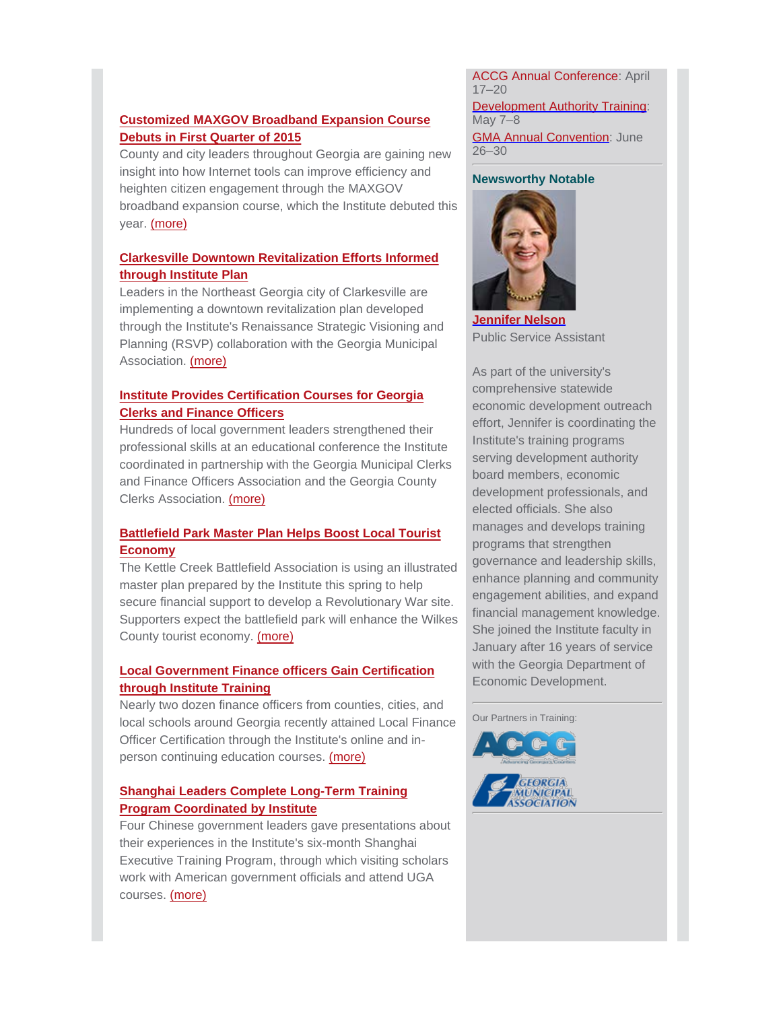## **Customized MAXGOV Broadband Expansion Course Debuts in First Quarter of 2015**

County and city leaders throughout Georgia are gaining new insight into how Internet tools can improve efficiency and heighten citizen engagement through the MAXGOV [broadband expansion course, which the Institute debuted this](http://www.cviog.uga.edu/news/spotlights/032015-maxgov.html) year. (more)

#### **Clarkesville Downtown Revitalization Efforts Informed through Institute Plan**

Leaders in the Northeast Georgia city of Clarkesville are implementing a downtown revitalization plan developed [through the Institute's Renaissance Strategic Visioning and](http://www.cviog.uga.edu/news/spotlights/031915-clarkesville.html) Planning (RSVP) collaboration with the Georgia Municipal Association. (more)

#### **Institute Provides Certification Courses for Georgia Clerks and Finance Officers**

Hundreds of local government leaders strengthened their professional skills at an educational conference the Institute [coordinated in partnership with the Georgia Municipal Clerks](http://www.cviog.uga.edu/news/spotlights/022415-conference.html) and Finance Officers Association and the Georgia County Clerks Association. (more)

### **Battlefield Park Master Plan Helps Boost Local Tourist Economy**

The Kettle Creek Battlefield Association is using an illustrated master plan prepared by the Institute this spring to help secure financial support to develop a Revolutionary War site. [Supporters expect the battlefield park will enhance the Wilkes](http://www.cviog.uga.edu/news/spotlights/020215-kcba.html) County tourist economy. (more)

## **Local Government Finance officers Gain Certification through Institute Training**

Nearly two dozen finance officers from counties, cities, and [local schools around Georgia recently attained Local Finance](http://www.cviog.uga.edu/news/spotlights/021315-certification.html) Officer Certification through the Institute's online and inperson continuing education courses. (more)

### **Shanghai Leaders Complete Long-Term Training Program Coordinated by Institute**

[Four Chinese government leaders gave presentations about](https://www.facebook.com/VinsonInstitute/photos/a.209089126785.140022.156388356785/10152529940476786/?type=1&theater) their experiences in the Institute's six-month Shanghai Executive Training Program, through which visiting scholars work with American government officials and attend UGA courses. (more)

ACCG Annual Conference: April 17–20

Development Authority Training: May 7–8 **GMA Annual Convention: June** 26–30

#### **Newsworthy Notable**



**[Jennifer Nelson](http://www.vinsoninstitute.org/newsworthy/story.php?id=389&issue=vol14no1&story=13)** Public Service Assistant

As part of the university's comprehensive statewide economic development outreach effort, Jennifer is coordinating the Institute's training programs serving development authority board members, economic development professionals, and elected officials. She also manages and develops training programs that strengthen governance and leadership skills, enhance planning and community engagement abilities, and expand financial management knowledge. She joined the Institute faculty in January after 16 years of service with the Georgia Department of Economic Development.

Our Partners in Training: